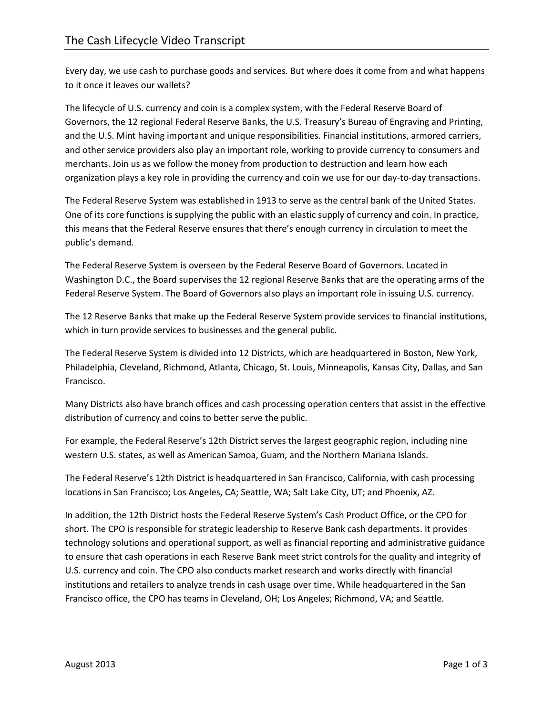Every day, we use cash to purchase goods and services. But where does it come from and what happens to it once it leaves our wallets?

The lifecycle of U.S. currency and coin is a complex system, with the Federal Reserve Board of Governors, the 12 regional Federal Reserve Banks, the U.S. Treasury's Bureau of Engraving and Printing, and the U.S. Mint having important and unique responsibilities. Financial institutions, armored carriers, and other service providers also play an important role, working to provide currency to consumers and merchants. Join us as we follow the money from production to destruction and learn how each organization plays a key role in providing the currency and coin we use for our day-to-day transactions.

The Federal Reserve System was established in 1913 to serve as the central bank of the United States. One of its core functions is supplying the public with an elastic supply of currency and coin. In practice, this means that the Federal Reserve ensures that there's enough currency in circulation to meet the public's demand.

The Federal Reserve System is overseen by the Federal Reserve Board of Governors. Located in Washington D.C., the Board supervises the 12 regional Reserve Banks that are the operating arms of the Federal Reserve System. The Board of Governors also plays an important role in issuing U.S. currency.

The 12 Reserve Banks that make up the Federal Reserve System provide services to financial institutions, which in turn provide services to businesses and the general public.

The Federal Reserve System is divided into 12 Districts, which are headquartered in Boston, New York, Philadelphia, Cleveland, Richmond, Atlanta, Chicago, St. Louis, Minneapolis, Kansas City, Dallas, and San Francisco.

Many Districts also have branch offices and cash processing operation centers that assist in the effective distribution of currency and coins to better serve the public.

For example, the Federal Reserve's 12th District serves the largest geographic region, including nine western U.S. states, as well as American Samoa, Guam, and the Northern Mariana Islands.

The Federal Reserve's 12th District is headquartered in San Francisco, California, with cash processing locations in San Francisco; Los Angeles, CA; Seattle, WA; Salt Lake City, UT; and Phoenix, AZ.

In addition, the 12th District hosts the Federal Reserve System's Cash Product Office, or the CPO for short. The CPO is responsible for strategic leadership to Reserve Bank cash departments. It provides technology solutions and operational support, as well as financial reporting and administrative guidance to ensure that cash operations in each Reserve Bank meet strict controls for the quality and integrity of U.S. currency and coin. The CPO also conducts market research and works directly with financial institutions and retailers to analyze trends in cash usage over time. While headquartered in the San Francisco office, the CPO has teams in Cleveland, OH; Los Angeles; Richmond, VA; and Seattle.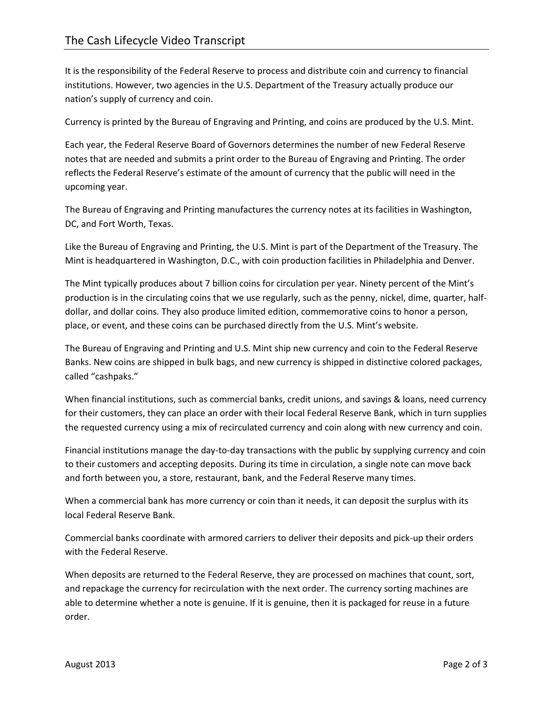It is the responsibility of the Federal Reserve to process and distribute coin and currency to financial institutions. However, two agencies in the U.S. Department of the Treasury actually produce our nation's supply of currency and coin.

Currency is printed by the Bureau of Engraving and Printing, and coins are produced by the U.S. Mint.

Each year, the Federal Reserve Board of Governors determines the number of new Federal Reserve notes that are needed and submits a print order to the Bureau of Engraving and Printing. The order reflects the Federal Reserve's estimate of the amount of currency that the public will need in the upcoming year.

The Bureau of Engraving and Printing manufactures the currency notes at its facilities in Washington, DC, and Fort Worth, Texas.

Like the Bureau of Engraving and Printing, the U.S. Mint is part of the Department of the Treasury. The Mint is headquartered in Washington, D.C., with coin production facilities in Philadelphia and Denver.

The Mint typically produces about 7 billion coins for circulation per year. Ninety percent of the Mint's production is in the circulating coins that we use regularly, such as the penny, nickel, dime, quarter, halfdollar, and dollar coins. They also produce limited edition, commemorative coins to honor a person, place, or event, and these coins can be purchased directly from the U.S. Mint's website.

The Bureau of Engraving and Printing and U.S. Mint ship new currency and coin to the Federal Reserve Banks. New coins are shipped in bulk bags, and new currency is shipped in distinctive colored packages, called "cashpaks."

When financial institutions, such as commercial banks, credit unions, and savings & loans, need currency for their customers, they can place an order with their local Federal Reserve Bank, which in turn supplies the requested currency using a mix of recirculated currency and coin along with new currency and coin.

Financial institutions manage the day-to-day transactions with the public by supplying currency and coin to their customers and accepting deposits. During its time in circulation, a single note can move back and forth between you, a store, restaurant, bank, and the Federal Reserve many times.

When a commercial bank has more currency or coin than it needs, it can deposit the surplus with its local Federal Reserve Bank.

Commercial banks coordinate with armored carriers to deliver their deposits and pick-up their orders with the Federal Reserve.

When deposits are returned to the Federal Reserve, they are processed on machines that count, sort, and repackage the currency for recirculation with the next order. The currency sorting machines are able to determine whether a note is genuine. If it is genuine, then it is packaged for reuse in a future order.